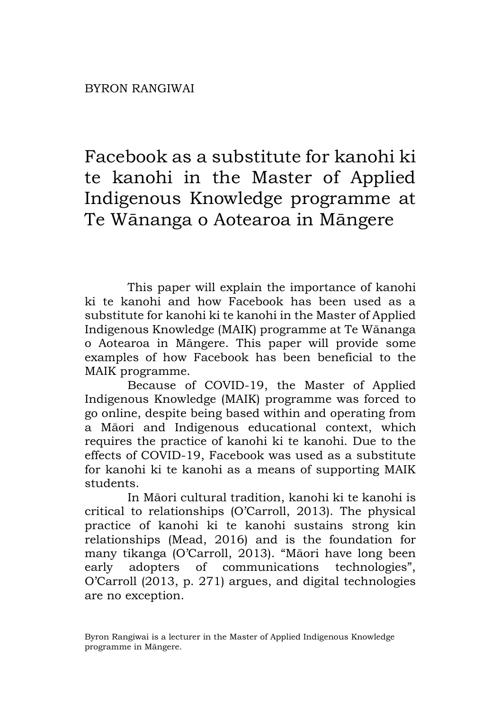Facebook as a substitute for kanohi ki te kanohi in the Master of Applied Indigenous Knowledge programme at Te Wānanga o Aotearoa in Māngere

This paper will explain the importance of kanohi ki te kanohi and how Facebook has been used as a substitute for kanohi ki te kanohi in the Master of Applied Indigenous Knowledge (MAIK) programme at Te Wānanga o Aotearoa in Māngere. This paper will provide some examples of how Facebook has been beneficial to the MAIK programme.

Because of COVID-19, the Master of Applied Indigenous Knowledge (MAIK) programme was forced to go online, despite being based within and operating from a Māori and Indigenous educational context, which requires the practice of kanohi ki te kanohi. Due to the effects of COVID-19, Facebook was used as a substitute for kanohi ki te kanohi as a means of supporting MAIK students.

In Māori cultural tradition, kanohi ki te kanohi is critical to relationships (O'Carroll, 2013). The physical practice of kanohi ki te kanohi sustains strong kin relationships (Mead, 2016) and is the foundation for many tikanga (O'Carroll, 2013). "Māori have long been early adopters of communications technologies", O'Carroll (2013, p. 271) argues, and digital technologies are no exception.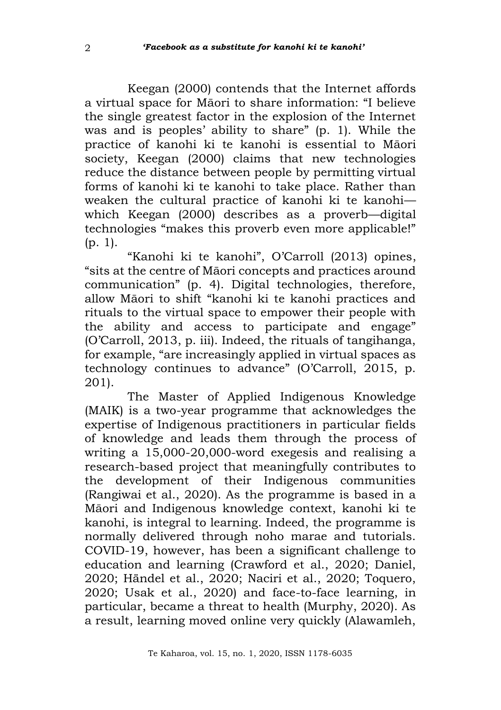Keegan (2000) contends that the Internet affords a virtual space for Māori to share information: "I believe the single greatest factor in the explosion of the Internet was and is peoples' ability to share" (p. 1). While the practice of kanohi ki te kanohi is essential to Māori society, Keegan (2000) claims that new technologies reduce the distance between people by permitting virtual forms of kanohi ki te kanohi to take place. Rather than weaken the cultural practice of kanohi ki te kanohiwhich Keegan (2000) describes as a proverb—digital technologies "makes this proverb even more applicable!" (p. 1).

"Kanohi ki te kanohi", O'Carroll (2013) opines, "sits at the centre of Māori concepts and practices around communication" (p. 4). Digital technologies, therefore, allow Māori to shift "kanohi ki te kanohi practices and rituals to the virtual space to empower their people with the ability and access to participate and engage" (O'Carroll, 2013, p. iii). Indeed, the rituals of tangihanga, for example, "are increasingly applied in virtual spaces as technology continues to advance" (O'Carroll, 2015, p. 201).

The Master of Applied Indigenous Knowledge (MAIK) is a two-year programme that acknowledges the expertise of Indigenous practitioners in particular fields of knowledge and leads them through the process of writing a 15,000-20,000-word exegesis and realising a research-based project that meaningfully contributes to the development of their Indigenous communities (Rangiwai et al., 2020). As the programme is based in a Māori and Indigenous knowledge context, kanohi ki te kanohi, is integral to learning. Indeed, the programme is normally delivered through noho marae and tutorials. COVID-19, however, has been a significant challenge to education and learning (Crawford et al., 2020; Daniel, 2020; Händel et al., 2020; Naciri et al., 2020; Toquero, 2020; Usak et al., 2020) and face-to-face learning, in particular, became a threat to health (Murphy, 2020). As a result, learning moved online very quickly (Alawamleh,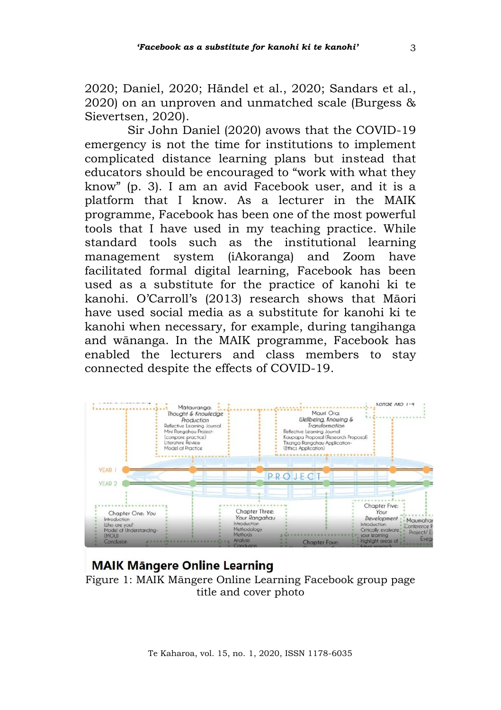2020; Daniel, 2020; Händel et al., 2020; Sandars et al., 2020) on an unproven and unmatched scale (Burgess & Sievertsen, 2020).

Sir John Daniel (2020) avows that the COVID-19 emergency is not the time for institutions to implement complicated distance learning plans but instead that educators should be encouraged to "work with what they know" (p. 3). I am an avid Facebook user, and it is a platform that I know. As a lecturer in the MAIK programme, Facebook has been one of the most powerful tools that I have used in my teaching practice. While standard tools such as the institutional learning management system (iAkoranga) and Zoom have facilitated formal digital learning, Facebook has been used as a substitute for the practice of kanohi ki te kanohi. O'Carroll's (2013) research shows that Māori have used social media as a substitute for kanohi ki te kanohi when necessary, for example, during tangihanga and wānanga. In the MAIK programme, Facebook has enabled the lecturers and class members to stay connected despite the effects of COVID-19.



### **MAIK Mängere Online Learning** Figure 1: MAIK Māngere Online Learning Facebook group page title and cover photo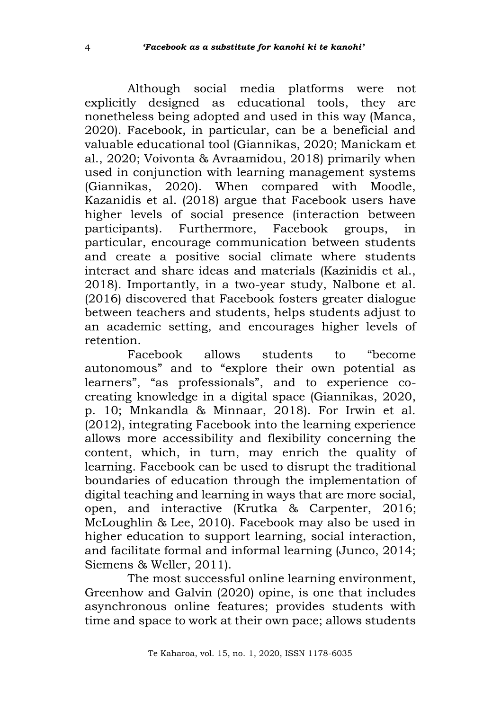Although social media platforms were not explicitly designed as educational tools, they are nonetheless being adopted and used in this way (Manca, 2020). Facebook, in particular, can be a beneficial and valuable educational tool (Giannikas, 2020; Manickam et al., 2020; Voivonta & Avraamidou, 2018) primarily when used in conjunction with learning management systems (Giannikas, 2020). When compared with Moodle, Kazanidis et al. (2018) argue that Facebook users have higher levels of social presence (interaction between participants). Furthermore, Facebook groups, in particular, encourage communication between students and create a positive social climate where students interact and share ideas and materials (Kazinidis et al., 2018). Importantly, in a two-year study, Nalbone et al. (2016) discovered that Facebook fosters greater dialogue between teachers and students, helps students adjust to an academic setting, and encourages higher levels of retention.

Facebook allows students to "become autonomous" and to "explore their own potential as learners", "as professionals", and to experience cocreating knowledge in a digital space (Giannikas, 2020, p. 10; Mnkandla & Minnaar, 2018). For Irwin et al. (2012), integrating Facebook into the learning experience allows more accessibility and flexibility concerning the content, which, in turn, may enrich the quality of learning. Facebook can be used to disrupt the traditional boundaries of education through the implementation of digital teaching and learning in ways that are more social, open, and interactive (Krutka & Carpenter, 2016; McLoughlin & Lee, 2010). Facebook may also be used in higher education to support learning, social interaction, and facilitate formal and informal learning (Junco, 2014; Siemens & Weller, 2011).

The most successful online learning environment, Greenhow and Galvin (2020) opine, is one that includes asynchronous online features; provides students with time and space to work at their own pace; allows students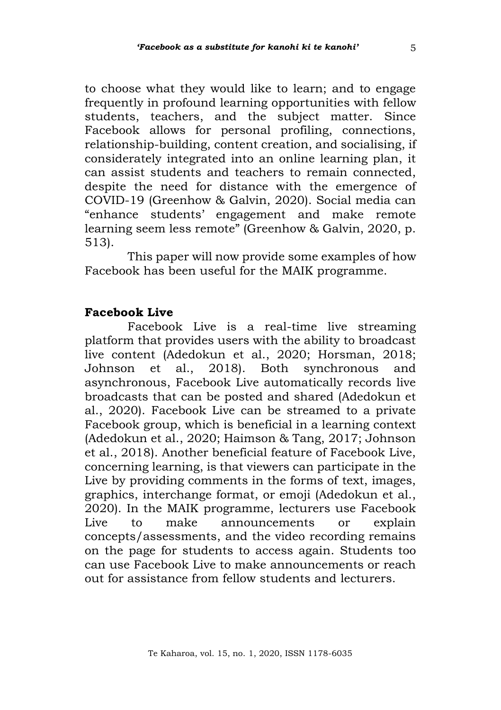to choose what they would like to learn; and to engage frequently in profound learning opportunities with fellow students, teachers, and the subject matter. Since Facebook allows for personal profiling, connections, relationship-building, content creation, and socialising, if considerately integrated into an online learning plan, it can assist students and teachers to remain connected, despite the need for distance with the emergence of COVID-19 (Greenhow & Galvin, 2020). Social media can "enhance students' engagement and make remote learning seem less remote" (Greenhow & Galvin, 2020, p. 513).

This paper will now provide some examples of how Facebook has been useful for the MAIK programme.

## **Facebook Live**

Facebook Live is a real-time live streaming platform that provides users with the ability to broadcast live content (Adedokun et al., 2020; Horsman, 2018; Johnson et al., 2018). Both synchronous and asynchronous, Facebook Live automatically records live broadcasts that can be posted and shared (Adedokun et al., 2020). Facebook Live can be streamed to a private Facebook group, which is beneficial in a learning context (Adedokun et al., 2020; Haimson & Tang, 2017; Johnson et al., 2018). Another beneficial feature of Facebook Live, concerning learning, is that viewers can participate in the Live by providing comments in the forms of text, images, graphics, interchange format, or emoji (Adedokun et al., 2020). In the MAIK programme, lecturers use Facebook Live to make announcements or explain concepts/assessments, and the video recording remains on the page for students to access again. Students too can use Facebook Live to make announcements or reach out for assistance from fellow students and lecturers.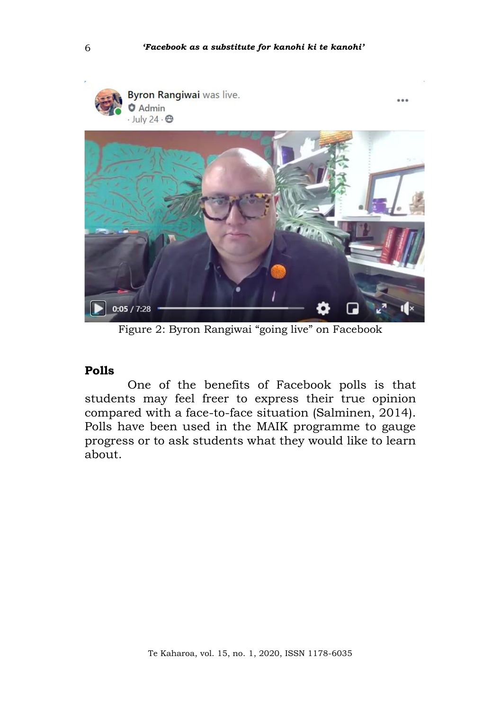$\overline{a}$ 





Figure 2: Byron Rangiwai "going live" on Facebook

#### **Polls**

One of the benefits of Facebook polls is that students may feel freer to express their true opinion compared with a face-to-face situation (Salminen, 2014). Polls have been used in the MAIK programme to gauge progress or to ask students what they would like to learn about.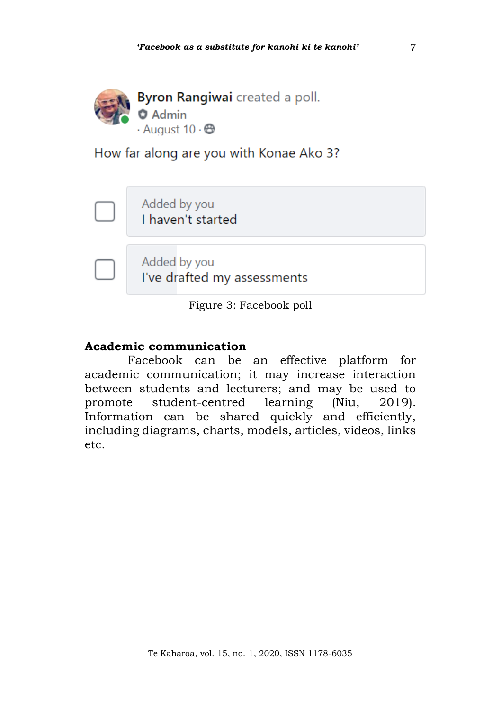

How far along are you with Konae Ako 3?

Added by you I haven't started

Added by you I've drafted my assessments

Figure 3: Facebook poll

## **Academic communication**

Facebook can be an effective platform for academic communication; it may increase interaction between students and lecturers; and may be used to promote student-centred learning (Niu, 2019). Information can be shared quickly and efficiently, including diagrams, charts, models, articles, videos, links etc.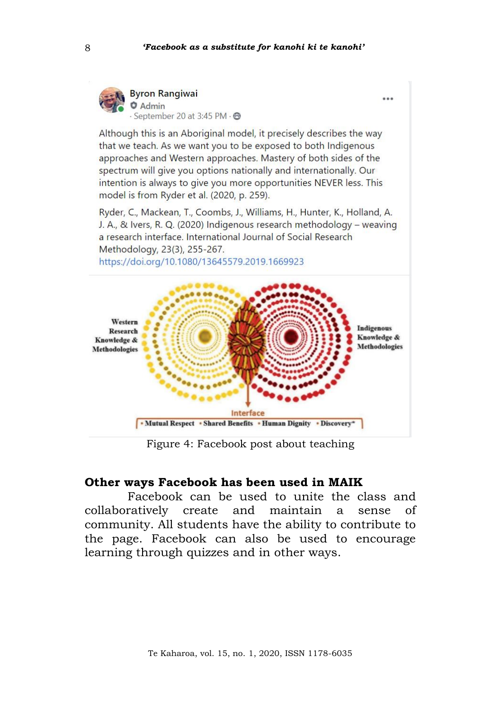

Although this is an Aboriginal model, it precisely describes the way that we teach. As we want you to be exposed to both Indigenous approaches and Western approaches. Mastery of both sides of the spectrum will give you options nationally and internationally. Our intention is always to give you more opportunities NEVER less. This model is from Ryder et al. (2020, p. 259).

Ryder, C., Mackean, T., Coombs, J., Williams, H., Hunter, K., Holland, A. J. A., & Ivers, R. Q. (2020) Indigenous research methodology - weaving a research interface. International Journal of Social Research Methodology, 23(3), 255-267.

https://doi.org/10.1080/13645579.2019.1669923



Figure 4: Facebook post about teaching

#### **Other ways Facebook has been used in MAIK**

Facebook can be used to unite the class and collaboratively create and maintain a sense of community. All students have the ability to contribute to the page. Facebook can also be used to encourage learning through quizzes and in other ways.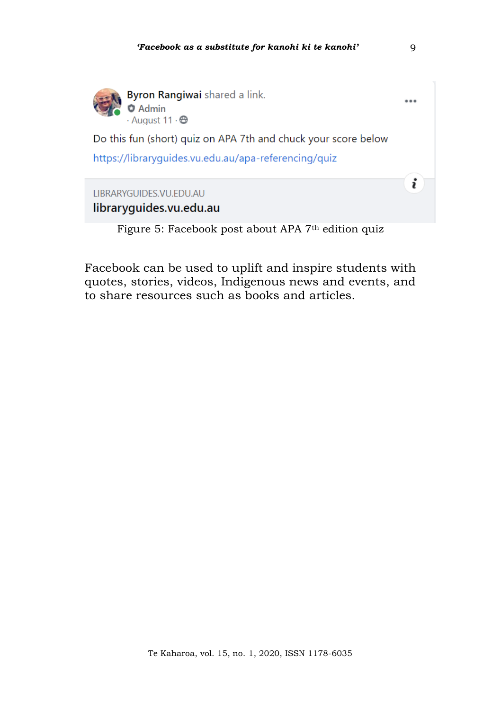

Byron Rangiwai shared a link.  $\bullet$  Admin  $\frac{1}{2}$  August 11  $\cdot$  A

Do this fun (short) quiz on APA 7th and chuck your score below

https://libraryquides.vu.edu.au/apa-referencing/quiz

# LIBRARYGUIDES.VU.EDU.AU libraryquides.vu.edu.au

Figure 5: Facebook post about APA 7<sup>th</sup> edition quiz

Facebook can be used to uplift and inspire students with quotes, stories, videos, Indigenous news and events, and to share resources such as books and articles.

 $\overline{a}$ 

i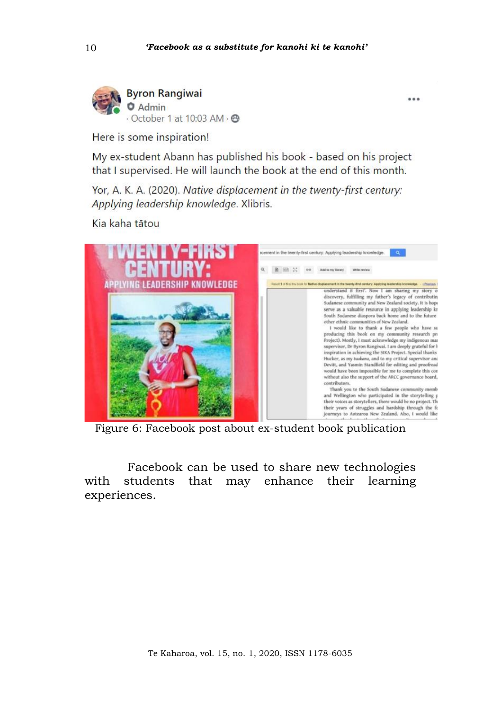$\overline{a}$ 



Here is some inspiration!

My ex-student Abann has published his book - based on his project that I supervised. He will launch the book at the end of this month.

Yor, A. K. A. (2020). Native displacement in the twenty-first century: Applying leadership knowledge. Xlibris.

Kia kaha tātou



Figure 6: Facebook post about ex-student book publication

Facebook can be used to share new technologies with students that may enhance their learning experiences.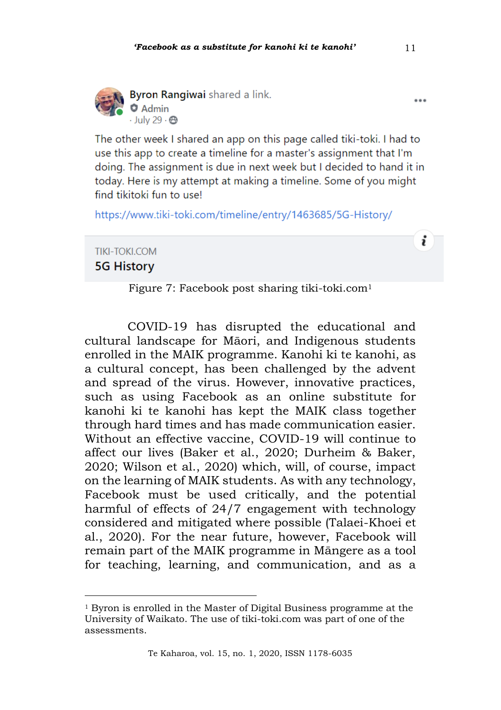

Byron Rangiwai shared a link.  $Q$  Admin  $\cdot$  July 29  $\cdot$   $\otimes$ 

The other week I shared an app on this page called tiki-toki. I had to use this app to create a timeline for a master's assignment that I'm doing. The assignment is due in next week but I decided to hand it in today. Here is my attempt at making a timeline. Some of you might find tikitoki fun to use!

https://www.tiki-toki.com/timeline/entry/1463685/5G-History/

**TIKI-TOKI COM 5G History** 

Figure 7: Facebook post sharing tiki-toki.com<sup>1</sup>

COVID-19 has disrupted the educational and cultural landscape for Māori, and Indigenous students enrolled in the MAIK programme. Kanohi ki te kanohi, as a cultural concept, has been challenged by the advent and spread of the virus. However, innovative practices, such as using Facebook as an online substitute for kanohi ki te kanohi has kept the MAIK class together through hard times and has made communication easier. Without an effective vaccine, COVID-19 will continue to affect our lives (Baker et al., 2020; Durheim & Baker, 2020; Wilson et al., 2020) which, will, of course, impact on the learning of MAIK students. As with any technology, Facebook must be used critically, and the potential harmful of effects of 24/7 engagement with technology considered and mitigated where possible (Talaei-Khoei et al., 2020). For the near future, however, Facebook will remain part of the MAIK programme in Māngere as a tool for teaching, learning, and communication, and as a

 $\overline{a}$ 

i

<sup>&</sup>lt;sup>1</sup> Byron is enrolled in the Master of Digital Business programme at the University of Waikato. The use of tiki-toki.com was part of one of the assessments.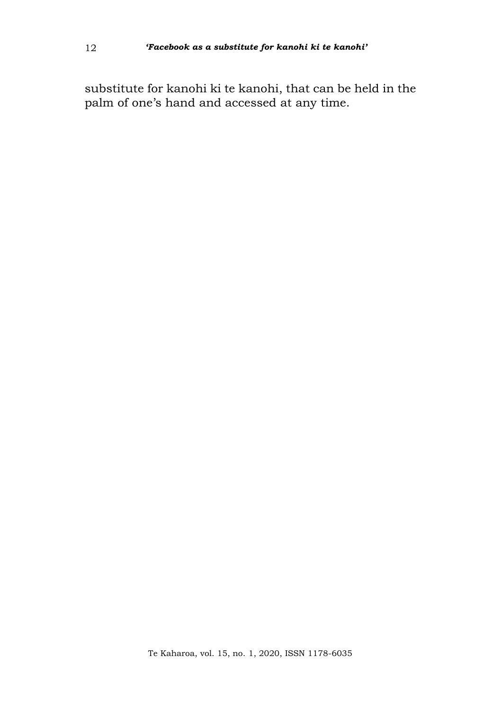substitute for kanohi ki te kanohi, that can be held in the palm of one's hand and accessed at any time.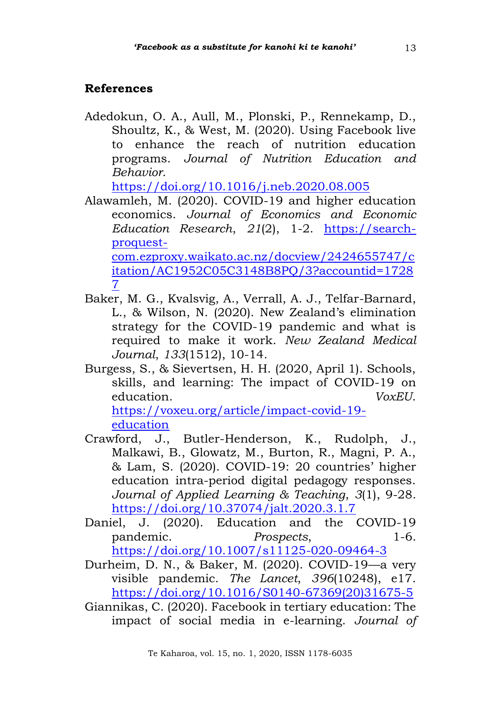# **References**

Adedokun, O. A., Aull, M., Plonski, P., Rennekamp, D., Shoultz, K., & West, M. (2020). Using Facebook live to enhance the reach of nutrition education programs. *Journal of Nutrition Education and Behavior*.

<https://doi.org/10.1016/j.neb.2020.08.005>

Alawamleh, M. (2020). COVID-19 and higher education economics. *Journal of Economics and Economic Education Research*, *21*(2), 1-2. [https://search](https://search-proquest-com.ezproxy.waikato.ac.nz/docview/2424655747/citation/AC1952C05C3148B8PQ/3?accountid=17287)[proquest](https://search-proquest-com.ezproxy.waikato.ac.nz/docview/2424655747/citation/AC1952C05C3148B8PQ/3?accountid=17287)[com.ezproxy.waikato.ac.nz/docview/2424655747/c](https://search-proquest-com.ezproxy.waikato.ac.nz/docview/2424655747/citation/AC1952C05C3148B8PQ/3?accountid=17287)

[itation/AC1952C05C3148B8PQ/3?accountid=1728](https://search-proquest-com.ezproxy.waikato.ac.nz/docview/2424655747/citation/AC1952C05C3148B8PQ/3?accountid=17287) [7](https://search-proquest-com.ezproxy.waikato.ac.nz/docview/2424655747/citation/AC1952C05C3148B8PQ/3?accountid=17287)

- Baker, M. G., Kvalsvig, A., Verrall, A. J., Telfar-Barnard, L., & Wilson, N. (2020). New Zealand's elimination strategy for the COVID-19 pandemic and what is required to make it work. *New Zealand Medical Journal*, *133*(1512), 10-14.
- Burgess, S., & Sievertsen, H. H. (2020, April 1). Schools, skills, and learning: The impact of COVID-19 on education. *VoxEU*.

[https://voxeu.org/article/impact-covid-19](https://voxeu.org/article/impact-covid-19-education) [education](https://voxeu.org/article/impact-covid-19-education)

- Crawford, J., Butler-Henderson, K., Rudolph, J., Malkawi, B., Glowatz, M., Burton, R., Magni, P. A., & Lam, S. (2020). COVID-19: 20 countries' higher education intra-period digital pedagogy responses. *Journal of Applied Learning & Teaching*, *3*(1), 9-28. <https://doi.org/10.37074/jalt.2020.3.1.7>
- Daniel, J. (2020). Education and the COVID-19 pandemic. *Prospects*, 1-6. <https://doi.org/10.1007/s11125-020-09464-3>
- Durheim, D. N., & Baker, M. (2020). COVID-19—a very visible pandemic. *The Lancet*, *396*(10248), e17. [https://doi.org/10.1016/S0140-67369\(20\)31675-5](https://doi.org/10.1016/S0140-67369(20)31675-5)
- Giannikas, C. (2020). Facebook in tertiary education: The impact of social media in e-learning. *Journal of*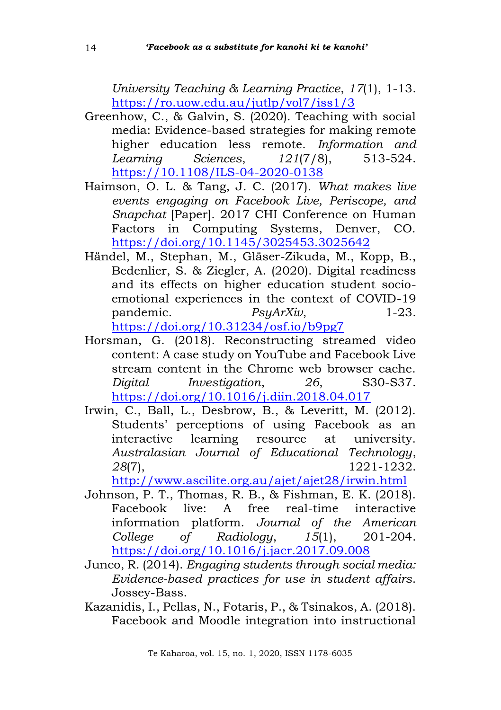*University Teaching & Learning Practice*, *17*(1), 1-13. <https://ro.uow.edu.au/jutlp/vol7/iss1/3>

- Greenhow, C., & Galvin, S. (2020). Teaching with social media: Evidence-based strategies for making remote higher education less remote. *Information and Learning Sciences*, *121*(7/8), 513-524. [https://10.1108/ILS-04-2020-0138](https://10.0.4.84/ILS-04-2020-0138)
- Haimson, O. L. & Tang, J. C. (2017). *What makes live events engaging on Facebook Live, Periscope, and Snapchat* [Paper]. 2017 CHI Conference on Human Factors in Computing Systems, Denver, CO. <https://doi.org/10.1145/3025453.3025642>
- Händel, M., Stephan, M., Gläser-Zikuda, M., Kopp, B., Bedenlier, S. & Ziegler, A. (2020). Digital readiness and its effects on higher education student socioemotional experiences in the context of COVID-19 pandemic. *PsyArXiv*, 1-23. <https://doi.org/10.31234/osf.io/b9pg7>
- Horsman, G. (2018). Reconstructing streamed video content: A case study on YouTube and Facebook Live stream content in the Chrome web browser cache. *Digital Investigation*, *26*, S30-S37. <https://doi.org/10.1016/j.diin.2018.04.017>
- Irwin, C., Ball, L., Desbrow, B., & Leveritt, M. (2012). Students' perceptions of using Facebook as an interactive learning resource at university. *Australasian Journal of Educational Technology*, *28*(7), 1221-1232.

<http://www.ascilite.org.au/ajet/ajet28/irwin.html>

- Johnson, P. T., Thomas, R. B., & Fishman, E. K. (2018). Facebook live: A free real-time interactive information platform. *Journal of the American College of Radiology*, *15*(1), 201-204. <https://doi.org/10.1016/j.jacr.2017.09.008>
- Junco, R. (2014). *Engaging students through social media: Evidence-based practices for use in student affairs*. Jossey-Bass.
- Kazanidis, I., Pellas, N., Fotaris, P., & Tsinakos, A. (2018). Facebook and Moodle integration into instructional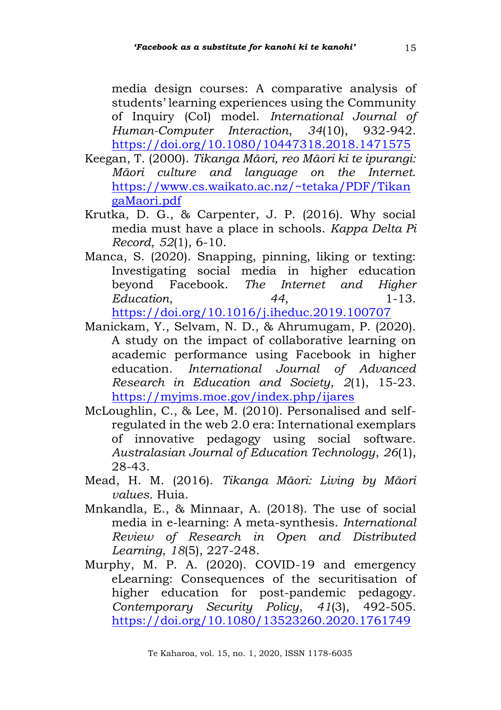media design courses: A comparative analysis of students' learning experiences using the Community of Inquiry (CoI) model. *International Journal of Human-Computer Interaction*, *34*(10), 932-942. <https://doi.org/10.1080/10447318.2018.1471575>

- Keegan, T. (2000). *Tikanga Māori, reo Māori ki te ipurangi: Māori culture and language on the Internet*. [https://www.cs.waikato.ac.nz/~tetaka/PDF/Tikan](https://www.cs.waikato.ac.nz/~tetaka/PDF/TikangaMaori.pdf) [gaMaori.pdf](https://www.cs.waikato.ac.nz/~tetaka/PDF/TikangaMaori.pdf)
- Krutka, D. G., & Carpenter, J. P. (2016). Why social media must have a place in schools. *Kappa Delta Pi Record*, *52*(1), 6-10.
- Manca, S. (2020). Snapping, pinning, liking or texting: Investigating social media in higher education beyond Facebook. *The Internet and Higher Education*, *44*, 1-13. <https://doi.org/10.1016/j.iheduc.2019.100707>
- Manickam, Y., Selvam, N. D., & Ahrumugam, P. (2020). A study on the impact of collaborative learning on academic performance using Facebook in higher education. *International Journal of Advanced Research in Education and Society*, *2*(1), 15-23. <https://myjms.moe.gov/index.php/ijares>
- McLoughlin, C., & Lee, M. (2010). Personalised and selfregulated in the web 2.0 era: International exemplars of innovative pedagogy using social software. *Australasian Journal of Education Technology*, *26*(1), 28-43.
- Mead, H. M. (2016). *Tikanga Māori: Living by Māori values*. Huia.
- Mnkandla, E., & Minnaar, A. (2018). The use of social media in e-learning: A meta-synthesis. *International Review of Research in Open and Distributed Learning*, *18*(5), 227-248.
- Murphy, M. P. A. (2020). COVID-19 and emergency eLearning: Consequences of the securitisation of higher education for post-pandemic pedagogy. *Contemporary Security Policy*, *41*(3), 492-505. <https://doi.org/10.1080/13523260.2020.1761749>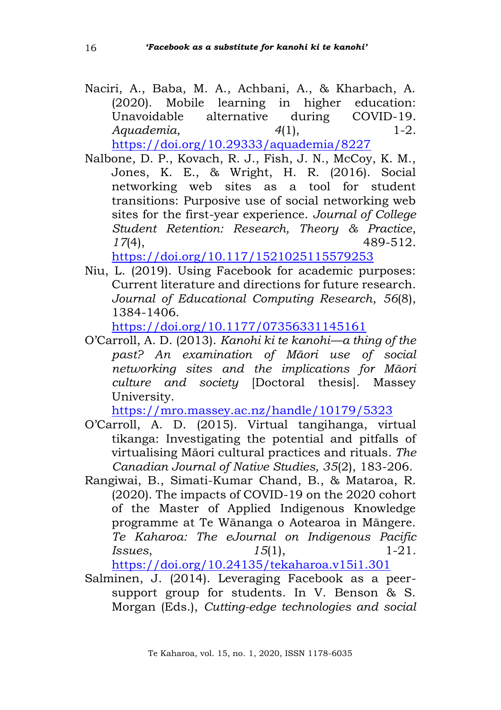Naciri, A., Baba, M. A., Achbani, A., & Kharbach, A. (2020). Mobile learning in higher education: Unavoidable alternative during COVID-19. *Aquademia*, *4*(1), 1-2.

<https://doi.org/10.29333/aquademia/8227>

Nalbone, D. P., Kovach, R. J., Fish, J. N., McCoy, K. M., Jones, K. E., & Wright, H. R. (2016). Social networking web sites as a tool for student transitions: Purposive use of social networking web sites for the first-year experience. *Journal of College Student Retention: Research, Theory & Practice*, *17*(4), 489-512.

<https://doi.org/10.117/1521025115579253>

Niu, L. (2019). Using Facebook for academic purposes: Current literature and directions for future research. *Journal of Educational Computing Research*, *56*(8), 1384-1406.

<https://doi.org/10.1177/07356331145161>

O'Carroll, A. D. (2013). *Kanohi ki te kanohi—a thing of the past? An examination of Māori use of social networking sites and the implications for Māori culture and society* [Doctoral thesis]. Massey University.

<https://mro.massey.ac.nz/handle/10179/5323>

- O'Carroll, A. D. (2015). Virtual tangihanga, virtual tikanga: Investigating the potential and pitfalls of virtualising Māori cultural practices and rituals*. The Canadian Journal of Native Studies, 35*(2), 183-206.
- Rangiwai, B., Simati-Kumar Chand, B., & Mataroa, R. (2020). The impacts of COVID-19 on the 2020 cohort of the Master of Applied Indigenous Knowledge programme at Te Wānanga o Aotearoa in Māngere. *Te Kaharoa: The eJournal on Indigenous Pacific Issues*, *15*(1), *1*-21.

<https://doi.org/10.24135/tekaharoa.v15i1.301>

Salminen, J. (2014). Leveraging Facebook as a peersupport group for students. In V. Benson & S. Morgan (Eds.), *Cutting-edge technologies and social*